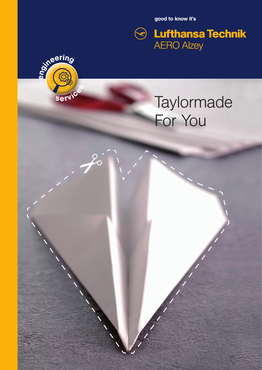good to know it's





 $\rightarrow 20$ 

# **Taylormade** For You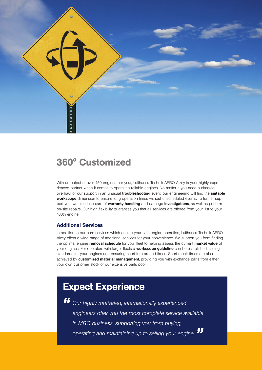

# 360° Customized

With an output of over 450 engines per year, Lufthansa Technik AERO Alzey is your highly experienced partner when it comes to operating reliable engines. No matter if you need a classical overhaul or our support in an unusual *troubleshooting* event, our engineering will find the suitable workscope dimension to ensure long operation times without unscheduled events. To further support you, we also take care of warranty handling and damage investigations, as well as perform on-site repairs. Our high flexibility guaranties you that all services are offered from your 1st to your 100th engine.

#### Additional Services

In addition to our core services which ensure your safe engine operation, Lufthansa Technik AERO Alzey offers a wide range of additional services for your convenience. We support you from finding the optimal engine removal schedule for your fleet to helping assess the current market value of your engines. For operators with larger fleets a **workscope guideline** can be established, setting standards for your engines and ensuring short turn around times. Short repair times are also achieved by **customized material management**, providing you with exchange parts from either your own customer stock or our extensive parts pool.

# Expect Experience

*" Our highly motivated, internationally experienced engineers offer you the most complete service available in MRO business, supporting you from buying, operating and maintaining up to selling your engine. "*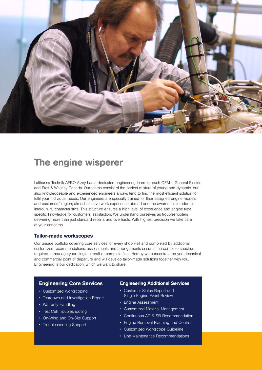

# The engine wisperer

Lufthansa Technik AERO Alzey has a dedicated engineering team for each OEM – General Electric and Pratt & Whitney Canada. Our teams consist of the perfect mixture of young and dynamic, but also knowledgeable and experienced engineers always tend to find the most efficient solution to fulfil your individual needs. Our engineers are specially trained for their assigned engine models and customers' region; almost all have work experience abroad and the awareness to address intercultural characteristics. This structure ensures a high level of experience and engine type specific knowledge for customers' satisfaction. We understand ourselves as troubleshooters delivering more than just standard repairs and overhauls. With highest precision we take care of your concerns.

#### Tailor-made workscopes

Our unique portfolio covering core services for every shop visit and completed by additional customized recommendations, assessments and arrangements ensures the complete spectrum required to manage your single aircraft or complete fleet. Hereby we concentrate on your technical and commercial point of departure and will develop tailor-made solutions together with you. Engineering is our dedication, which we want to share.

#### Engineering Core Services

- Customized Workscoping
- Teardown and Investigation Report
- Warranty Handling
- Test Cell Troubleshooting
- On-Wing and On-Site Support
- Troubleshooting Support

#### Engineering Additional Services

- Customer Status Report and Single Engine Event Review
- Engine Assessment
- Customized Material Management
- Continuous AD & SB Recommendation
- Engine Removal Planning and Control
- Customized Workscope Guideline
- Line Maintenance Recommendations